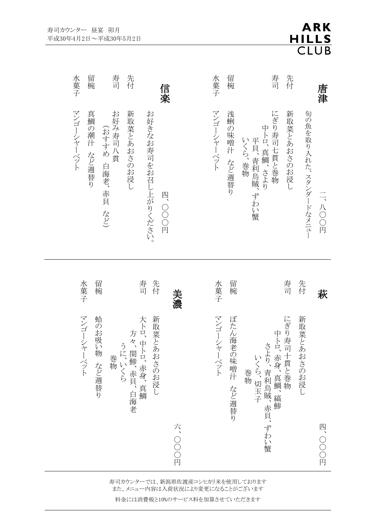| 留椀<br>先付<br>水菓子<br>寿司<br>信楽                                                                              |        | 水菓子            | 留椀                  | 寿司                                                 | 先付             |                       | 唐津     |
|----------------------------------------------------------------------------------------------------------|--------|----------------|---------------------|----------------------------------------------------|----------------|-----------------------|--------|
| マンゴーシャーベット<br>真鯛の潮汁 など週替り<br>お好み寿司八貫<br>新取菜とあおさのお浸し<br>お好きなお寿司をお召し上がりください。<br>(おすすめ 白海老、赤貝 など)<br>四、〇〇〇円 |        | マンゴーシャーベット     | 浅蜊の味噌汁 など週替り        | にぎり寿司七貫と巻物<br>中トロ、真鯛、さより<br>平貝、青利烏賊、ずわい蟹<br>いくら、巻物 | 新取菜とあおさのお浸し    | 旬の魚を取り入れた、スタンダードなメニュー | 二、八〇〇円 |
| 先付<br>留椀<br>寿司<br>水菓子                                                                                    | 美濃     | 水菓子            | 留椀                  |                                                    | 寿司             | 先付                    | 萩      |
| マンゴーシャーベット<br>蛤のお吸い物 など週替り<br>大卜口、中卜口、赤身、真鯛<br>新取菜とあおさのお浸し<br>うに、いくら方々、関鯵、赤貝、白海老<br>巻物                   | 六、〇〇〇円 | マンゴーシャ<br>ーベット | ぼたん海老<br>の味噌汁 など週替り | 中トロ、赤身、真鯛、縞鯵<br>いくら、切玉子さより、青川鳥賊、赤貝、ずわい蟹<br>巻物      | にぎり寿司<br>十貫と巻物 | 新取菜とあおさのお浸し           | 四、〇〇〇円 |

**ARK** 

HILLS<br>CLUB

寿司カウンターでは、新潟県佐渡産コシヒカリ米を使用しております また、メニュー内容は入荷状況により変更になることがございます

料金には消費税と10%のサービス料を加算させていただきます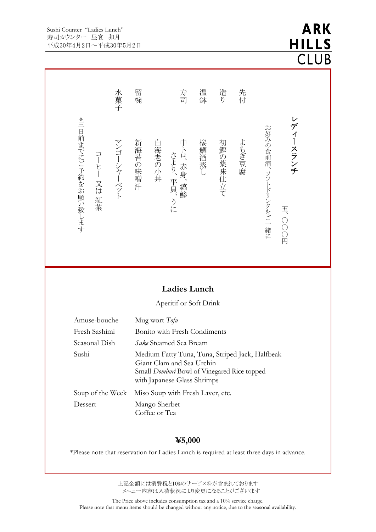#### Sushi Counter "Ladies Lunch" 寿司カウンター 昼宴 卯月 平成30年4月2日~平成30年5月2日

# **ARK HILLS CLUB**

レ デ ィ ー ス ラ ン チ 五 、〇  $\bigcirc$  $\bigcirc$ 円 お 好 みの食 前 酒 、ソフトドリンクを ご 一 緒 に 先 付 よ も ぎ 豆 腐 造 り 初 鰹 の 薬 味 仕 立 て温 鉢 桜 鯛 酒 蒸 し寿 司 中 ト ロ、赤 身 、<br>縞 鯵 さ よ り 、平 貝 、<br>う に 白 海 老 の 小 丼 留 椀 新 海 苔 の 味 噌 汁 水 菓 子 マ ン ゴ ー シャー ベ ッ ト コー ヒ ー 又 は 紅 茶 \* 三 日 前 までにご予 約 を お 願 い 致 し ま す **Ladies Lunch**  Aperitif or Soft Drink

| Amuse-bouche     | Mug wort Tofu                                                                                                                                                     |
|------------------|-------------------------------------------------------------------------------------------------------------------------------------------------------------------|
| Fresh Sashimi    | <b>Bonito with Fresh Condiments</b>                                                                                                                               |
| Seasonal Dish    | <i>Sake</i> Steamed Sea Bream                                                                                                                                     |
| Sushi            | Medium Fatty Tuna, Tuna, Striped Jack, Halfbeak<br>Giant Clam and Sea Urchin<br>Small <i>Domburi</i> Bowl of Vinegared Rice topped<br>with Japanese Glass Shrimps |
| Soup of the Week | Miso Soup with Fresh Laver, etc.                                                                                                                                  |
| Dessert          | Mango Sherbet<br>Coffee or Tea                                                                                                                                    |

## **¥5,000**

\*Please note that reservation for Ladies Lunch is required at least three days in advance.

上記金額には消費税と10%のサービス料が含まれております メニュー内容は入荷状況により変更になることがございます

The Price above includes consumption tax and a 10% service charge. Please note that menu items should be changed without any notice, due to the seasonal availability.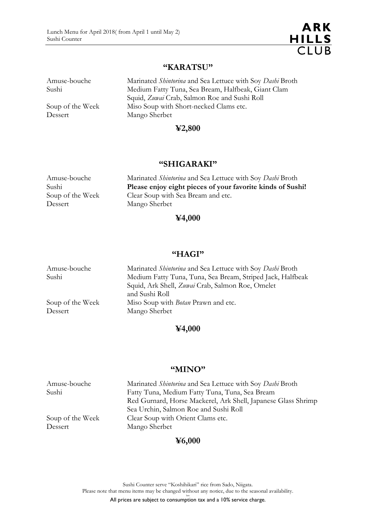Amuse-bouche

Dessert

#### **"KARATSU"**

| Amuse-bouche     | Marinated Shintorina and Sea Lettuce with Soy Dashi Broth |
|------------------|-----------------------------------------------------------|
| Sushi            | Medium Fatty Tuna, Sea Bream, Halfbeak, Giant Clam        |
|                  | Squid, Zuwai Crab, Salmon Roe and Sushi Roll              |
| Soup of the Week | Miso Soup with Short-necked Clams etc.                    |
| Dessert          | Mango Sherbet                                             |

## **¥2,800**

#### **"SHIGARAKI"**

| Amuse-bouche     | Marinated Shintorina and Sea Lettuce with Soy Dashi Broth  |
|------------------|------------------------------------------------------------|
| Sushi            | Please enjoy eight pieces of your favorite kinds of Sushi! |
| Soup of the Week | Clear Soup with Sea Bream and etc.                         |
| Dessert          | Mango Sherbet                                              |

## **¥4,000**

#### **"HAGI"**

| Amuse-bouche     | Marinated <i>Shintorina</i> and Sea Lettuce with Soy Dashi Broth |
|------------------|------------------------------------------------------------------|
| Sushi            | Medium Fatty Tuna, Tuna, Sea Bream, Striped Jack, Halfbeak       |
|                  | Squid, Ark Shell, Zuwai Crab, Salmon Roe, Omelet                 |
|                  | and Sushi Roll                                                   |
| Soup of the Week | Miso Soup with <i>Botan</i> Prawn and etc.                       |
| Dessert          | Mango Sherbet                                                    |
|                  |                                                                  |

## **¥4,000**

#### **"MINO"**

| Amuse-bouche     | Marinated Shintorina and Sea Lettuce with Soy Dashi Broth                                              |
|------------------|--------------------------------------------------------------------------------------------------------|
| Sushi            | Fatty Tuna, Medium Fatty Tuna, Tuna, Sea Bream                                                         |
|                  | Red Gurnard, Horse Mackerel, Ark Shell, Japanese Glass Shrimp<br>Sea Urchin, Salmon Roe and Sushi Roll |
| Soup of the Week | Clear Soup with Orient Clams etc.                                                                      |
| Dessert          | Mango Sherbet                                                                                          |

# **¥6,000**

Sushi Counter serve "Koshihikari" rice from Sado, Niigata. Please note that menu items may be changed without any notice, due to the seasonal availability.

lam All prices are subject to consumption tax and a 10% service charge.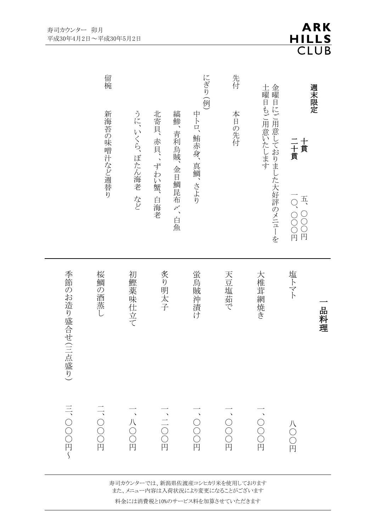| 週末限定   |                                       |                   | 品料理             |                |
|--------|---------------------------------------|-------------------|-----------------|----------------|
|        | 十貫<br>二十貫                             | 10、000円<br>五、〇〇〇円 | 塩トマト            | 八〇〇円           |
| 金曜     | 土曜日もご用意いたします<br>日にご用意しておりました大好評のメニューを |                   | 大椎茸網焼き          | ·OOO円          |
| 先付     | 本日の先付                                 |                   | 天豆塩茹で           | ·OOO円          |
| にぎり(例) | 中トロ、鮪赤身、真鯛、さより                        |                   | 蛍鳥賊沖漬け          | ·OOO円          |
|        | 縞鯵、青利烏賊、金目鯛昆布〆、白魚                     |                   |                 |                |
|        | 北寄貝、赤貝、、ずわい蟹、白海老                      |                   | 炙り明太子           | $\frac{1}{10}$ |
|        | うに、いくら、ぼたん海老 など                       |                   | 初鰹薬味仕立て         | 、八〇〇円          |
| 留椀     | 新海苔の味噌汁など週替り                          |                   | 桜鯛の酒蒸し          | 二、OOD          |
|        |                                       |                   | 季節のお造り盛合せ(三点盛り) | 三、〇〇〇円〜        |

寿司カウンターでは、新潟県佐渡産コシヒカリ米を使用しております また、メニュー内容は入荷状況により変更になることがございます 料金には消費税と10%のサービス料を加算させていただきます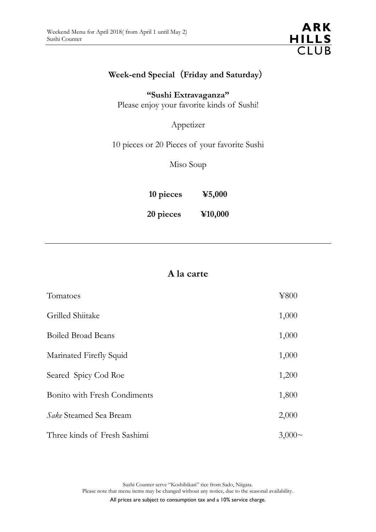

# **Week-end Special**(**Friday and Saturday**)

**"Sushi Extravaganza"** Please enjoy your favorite kinds of Sushi!

Appetizer

10 pieces or 20 Pieces of your favorite Sushi

Miso Soup

**10 pieces ¥5,000**

**20 pieces ¥10,000**

# **A la carte**

| Tomatoes                      | ¥800         |
|-------------------------------|--------------|
| Grilled Shiitake              | 1,000        |
| <b>Boiled Broad Beans</b>     | 1,000        |
| Marinated Firefly Squid       | 1,000        |
| Seared Spicy Cod Roe          | 1,200        |
| Bonito with Fresh Condiments  | 1,800        |
| <i>Sake</i> Steamed Sea Bream | 2,000        |
| Three kinds of Fresh Sashimi  | $3,000 \sim$ |

Sushi Counter serve "Koshihikari" rice from Sado, Niigata. Please note that menu items may be changed without any notice, due to the seasonal availability.

All prices are subject to consumption tax and a 10% service charge.